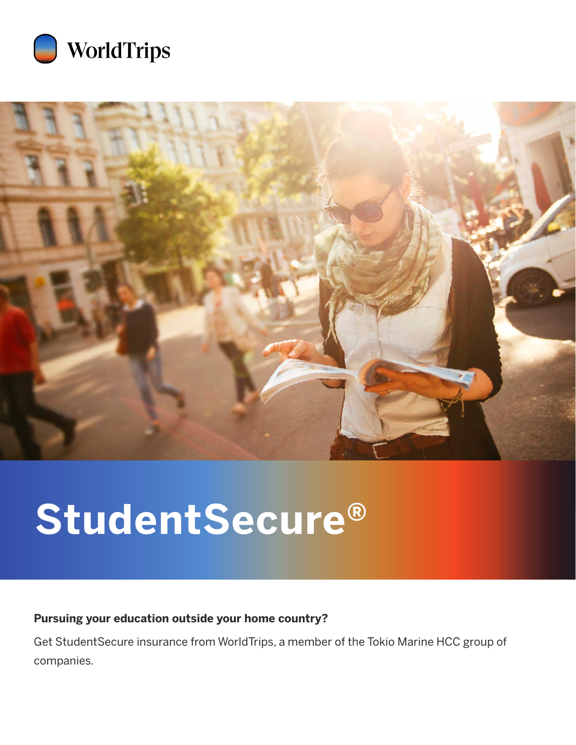



# **StudentSecure®**

## **Pursuing your education outside your home country?**

Get StudentSecure insurance from WorldTrips, a member of the Tokio Marine HCC group of companies.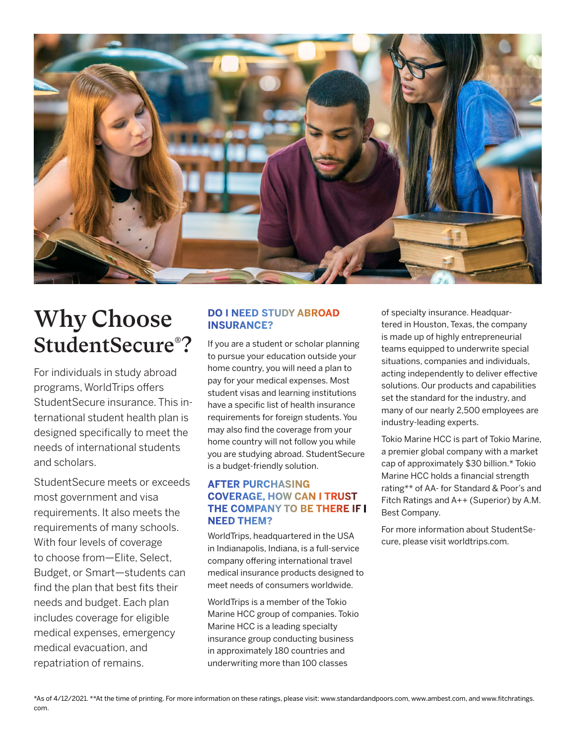

# Why Choose StudentSecure® ?

For individuals in study abroad programs, WorldTrips offers StudentSecure insurance. This international student health plan is designed specifically to meet the needs of international students and scholars.

StudentSecure meets or exceeds most government and visa requirements. It also meets the requirements of many schools. With four levels of coverage to choose from—Elite, Select, Budget, or Smart—students can find the plan that best fits their needs and budget. Each plan includes coverage for eligible medical expenses, emergency medical evacuation, and repatriation of remains.

### **DO I NEED STUDY ABROAD INSURANCE?**

If you are a student or scholar planning to pursue your education outside your home country, you will need a plan to pay for your medical expenses. Most student visas and learning institutions have a specific list of health insurance requirements for foreign students. You may also find the coverage from your home country will not follow you while you are studying abroad. StudentSecure is a budget-friendly solution.

#### **AFTER PURCHASING COVERAGE, HOW CAN I TRUST THE COMPANY TO BE THERE IF I NEED THEM?**

WorldTrips, headquartered in the USA in Indianapolis, Indiana, is a full-service company offering international travel medical insurance products designed to meet needs of consumers worldwide.

WorldTrips is a member of the Tokio Marine HCC group of companies. Tokio Marine HCC is a leading specialty insurance group conducting business in approximately 180 countries and underwriting more than 100 classes

of specialty insurance. Headquartered in Houston, Texas, the company is made up of highly entrepreneurial teams equipped to underwrite special situations, companies and individuals, acting independently to deliver effective solutions. Our products and capabilities set the standard for the industry, and many of our nearly 2,500 employees are industry-leading experts.

Tokio Marine HCC is part of Tokio Marine, a premier global company with a market cap of approximately \$30 billion.\* Tokio Marine HCC holds a financial strength rating\*\* of AA- for Standard & Poor's and Fitch Ratings and A++ (Superior) by A.M. Best Company.

For more information about StudentSecure, please visit worldtrips.com.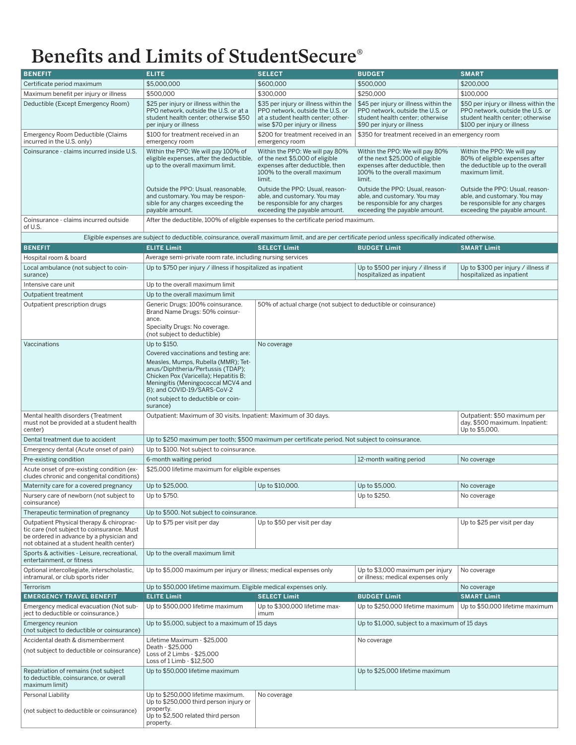# Benefits and Limits of StudentSecure®

| <b>BENEFIT</b>                                                                                                                                                                 | <b>ELITE</b>                                                                                                                                                                                                                                                                                       | <b>SELECT</b>                                                                                                                                      | <b>BUDGET</b>                                                                                                                                   | <b>SMART</b>                                                                                                                                 |
|--------------------------------------------------------------------------------------------------------------------------------------------------------------------------------|----------------------------------------------------------------------------------------------------------------------------------------------------------------------------------------------------------------------------------------------------------------------------------------------------|----------------------------------------------------------------------------------------------------------------------------------------------------|-------------------------------------------------------------------------------------------------------------------------------------------------|----------------------------------------------------------------------------------------------------------------------------------------------|
| Certificate period maximum                                                                                                                                                     | \$5,000,000                                                                                                                                                                                                                                                                                        | \$600,000                                                                                                                                          | \$500,000                                                                                                                                       | \$200,000                                                                                                                                    |
| Maximum benefit per injury or illness                                                                                                                                          | \$500,000                                                                                                                                                                                                                                                                                          | \$300,000                                                                                                                                          | \$250,000                                                                                                                                       | \$100,000                                                                                                                                    |
| Deductible (Except Emergency Room)                                                                                                                                             | \$25 per injury or illness within the<br>PPO network, outside the U.S. or at a<br>student health center; otherwise \$50<br>per injury or illness                                                                                                                                                   | \$35 per injury or illness within the<br>PPO network, outside the U.S. or<br>at a student health center: other-<br>wise \$70 per injury or illness | \$45 per injury or illness within the<br>PPO network, outside the U.S. or<br>student health center; otherwise<br>\$90 per injury or illness     | \$50 per injury or illness within the<br>PPO network, outside the U.S. or<br>student health center: otherwise<br>\$100 per injury or illness |
| Emergency Room Deductible (Claims<br>incurred in the U.S. only)                                                                                                                | \$100 for treatment received in an<br>emergency room                                                                                                                                                                                                                                               | \$200 for treatment received in an<br>emergency room                                                                                               | \$350 for treatment received in an emergency room                                                                                               |                                                                                                                                              |
| Coinsurance - claims incurred inside U.S.                                                                                                                                      | Within the PPO: We will pay 100% of<br>eligible expenses, after the deductible,<br>up to the overall maximum limit.                                                                                                                                                                                | Within the PPO: We will pay 80%<br>of the next \$5,000 of eligible<br>expenses after deductible, then<br>100% to the overall maximum<br>limit.     | Within the PPO: We will pay 80%<br>of the next \$25,000 of eligible<br>expenses after deductible, then<br>100% to the overall maximum<br>limit. | Within the PPO: We will pay<br>80% of eligible expenses after<br>the deductible up to the overall<br>maximum limit.                          |
|                                                                                                                                                                                | Outside the PPO: Usual, reasonable,<br>and customary. You may be respon-<br>sible for any charges exceeding the<br>payable amount.                                                                                                                                                                 | Outside the PPO: Usual, reason-<br>able, and customary. You may<br>be responsible for any charges<br>exceeding the payable amount.                 | Outside the PPO: Usual, reason-<br>able, and customary. You may<br>be responsible for any charges<br>exceeding the payable amount.              | Outside the PPO: Usual, reason-<br>able, and customary. You may<br>be responsible for any charges<br>exceeding the payable amount.           |
| Coinsurance - claims incurred outside<br>of U.S.                                                                                                                               | After the deductible, 100% of eligible expenses to the certificate period maximum.                                                                                                                                                                                                                 |                                                                                                                                                    |                                                                                                                                                 |                                                                                                                                              |
| Eligible expenses are subject to deductible, coinsurance, overall maximum limit, and are per certificate period unless specifically indicated otherwise.                       |                                                                                                                                                                                                                                                                                                    |                                                                                                                                                    |                                                                                                                                                 |                                                                                                                                              |
| <b>BENEFIT</b>                                                                                                                                                                 | <b>ELITE Limit</b>                                                                                                                                                                                                                                                                                 | <b>SELECT Limit</b>                                                                                                                                | <b>BUDGET Limit</b>                                                                                                                             | <b>SMART Limit</b>                                                                                                                           |
| Hospital room & board                                                                                                                                                          | Average semi-private room rate, including nursing services                                                                                                                                                                                                                                         |                                                                                                                                                    |                                                                                                                                                 |                                                                                                                                              |
| Local ambulance (not subject to coin-<br>surance)                                                                                                                              | Up to \$750 per injury / illness if hospitalized as inpatient                                                                                                                                                                                                                                      |                                                                                                                                                    | Up to \$500 per injury / illness if<br>hospitalized as inpatient                                                                                | Up to \$300 per injury / illness if<br>hospitalized as inpatient                                                                             |
| Intensive care unit                                                                                                                                                            | Up to the overall maximum limit                                                                                                                                                                                                                                                                    |                                                                                                                                                    |                                                                                                                                                 |                                                                                                                                              |
| Outpatient treatment                                                                                                                                                           | Up to the overall maximum limit                                                                                                                                                                                                                                                                    |                                                                                                                                                    |                                                                                                                                                 |                                                                                                                                              |
| Outpatient prescription drugs                                                                                                                                                  | Generic Drugs: 100% coinsurance.<br>Brand Name Drugs: 50% coinsur-<br>ance.<br>Specialty Drugs: No coverage.<br>(not subject to deductible)                                                                                                                                                        | 50% of actual charge (not subject to deductible or coinsurance)                                                                                    |                                                                                                                                                 |                                                                                                                                              |
| Vaccinations                                                                                                                                                                   | Up to \$150.<br>Covered vaccinations and testing are:<br>Measles, Mumps, Rubella (MMR); Tet-<br>anus/Diphtheria/Pertussis (TDAP);<br>Chicken Pox (Varicella); Hepatitis B;<br>Meningitis (Meningococcal MCV4 and<br>B); and COVID-19/SARS-CoV-2<br>(not subject to deductible or coin-<br>surance) | No coverage                                                                                                                                        |                                                                                                                                                 |                                                                                                                                              |
| Mental health disorders (Treatment<br>must not be provided at a student health<br>center)                                                                                      | Outpatient: Maximum of 30 visits. Inpatient: Maximum of 30 days.<br>Outpatient: \$50 maximum per<br>day, \$500 maximum. Inpatient:<br>Up to \$5,000.                                                                                                                                               |                                                                                                                                                    |                                                                                                                                                 |                                                                                                                                              |
| Dental treatment due to accident                                                                                                                                               | Up to \$250 maximum per tooth; \$500 maximum per certificate period. Not subject to coinsurance.                                                                                                                                                                                                   |                                                                                                                                                    |                                                                                                                                                 |                                                                                                                                              |
| Emergency dental (Acute onset of pain)                                                                                                                                         | Up to \$100. Not subject to coinsurance.                                                                                                                                                                                                                                                           |                                                                                                                                                    |                                                                                                                                                 |                                                                                                                                              |
| Pre-existing condition                                                                                                                                                         | 6-month waiting period<br>12-month waiting period<br>No coverage                                                                                                                                                                                                                                   |                                                                                                                                                    |                                                                                                                                                 |                                                                                                                                              |
| Acute onset of pre-existing condition (ex-<br>cludes chronic and congenital conditions)                                                                                        | \$25,000 lifetime maximum for eligible expenses                                                                                                                                                                                                                                                    |                                                                                                                                                    |                                                                                                                                                 |                                                                                                                                              |
| Maternity care for a covered pregnancy                                                                                                                                         | Up to \$25,000.                                                                                                                                                                                                                                                                                    | Up to \$10,000.                                                                                                                                    | Up to \$5,000.                                                                                                                                  | No coverage                                                                                                                                  |
| Nursery care of newborn (not subject to<br>coinsurance)                                                                                                                        | Up to \$750.                                                                                                                                                                                                                                                                                       |                                                                                                                                                    | Up to \$250.                                                                                                                                    | No coverage                                                                                                                                  |
| Therapeutic termination of pregnancy                                                                                                                                           | Up to \$500. Not subject to coinsurance.                                                                                                                                                                                                                                                           |                                                                                                                                                    |                                                                                                                                                 |                                                                                                                                              |
| Outpatient Physical therapy & chiroprac-<br>tic care (not subject to coinsurance. Must<br>be ordered in advance by a physician and<br>not obtained at a student health center) | Up to \$50 per visit per day<br>Up to \$75 per visit per day                                                                                                                                                                                                                                       |                                                                                                                                                    | Up to \$25 per visit per day                                                                                                                    |                                                                                                                                              |
| Sports & activities - Leisure, recreational,<br>entertainment, or fitness                                                                                                      | Up to the overall maximum limit                                                                                                                                                                                                                                                                    |                                                                                                                                                    |                                                                                                                                                 |                                                                                                                                              |
| Optional intercollegiate, interscholastic,<br>intramural, or club sports rider                                                                                                 | Up to \$5,000 maximum per injury or illness; medical expenses only                                                                                                                                                                                                                                 |                                                                                                                                                    | Up to \$3,000 maximum per injury<br>or illness; medical expenses only                                                                           | No coverage                                                                                                                                  |
| Terrorism                                                                                                                                                                      | Up to \$50,000 lifetime maximum. Eligible medical expenses only.                                                                                                                                                                                                                                   |                                                                                                                                                    |                                                                                                                                                 | No coverage                                                                                                                                  |
| <b>EMERGENCY TRAVEL BENEFIT</b>                                                                                                                                                | <b>ELITE Limit</b>                                                                                                                                                                                                                                                                                 | <b>SELECT Limit</b>                                                                                                                                | <b>BUDGET Limit</b>                                                                                                                             | <b>SMART Limit</b>                                                                                                                           |
| Emergency medical evacuation (Not sub-<br>ject to deductible or coinsurance.)                                                                                                  | Up to \$500,000 lifetime maximum                                                                                                                                                                                                                                                                   | Up to \$300,000 lifetime max-<br>imum                                                                                                              | Up to \$250,000 lifetime maximum                                                                                                                | Up to \$50,000 lifetime maximum                                                                                                              |
| Emergency reunion<br>(not subject to deductible or coinsurance)                                                                                                                | Up to \$5,000, subject to a maximum of 15 days                                                                                                                                                                                                                                                     |                                                                                                                                                    | Up to \$1,000, subject to a maximum of 15 days                                                                                                  |                                                                                                                                              |
| Accidental death & dismemberment<br>(not subject to deductible or coinsurance)                                                                                                 | Lifetime Maximum - \$25,000<br>Death - \$25,000<br>Loss of 2 Limbs - \$25,000<br>Loss of 1 Limb - \$12,500                                                                                                                                                                                         |                                                                                                                                                    | No coverage                                                                                                                                     |                                                                                                                                              |
| Repatriation of remains (not subject<br>to deductible, coinsurance, or overall<br>maximum limit)                                                                               | Up to \$50,000 lifetime maximum                                                                                                                                                                                                                                                                    |                                                                                                                                                    | Up to \$25,000 lifetime maximum                                                                                                                 |                                                                                                                                              |
| Personal Liability                                                                                                                                                             | Up to \$250,000 lifetime maximum.                                                                                                                                                                                                                                                                  | No coverage                                                                                                                                        |                                                                                                                                                 |                                                                                                                                              |
| (not subject to deductible or coinsurance)                                                                                                                                     | Up to \$250,000 third person injury or<br>property.<br>Up to \$2,500 related third person<br>property.                                                                                                                                                                                             |                                                                                                                                                    |                                                                                                                                                 |                                                                                                                                              |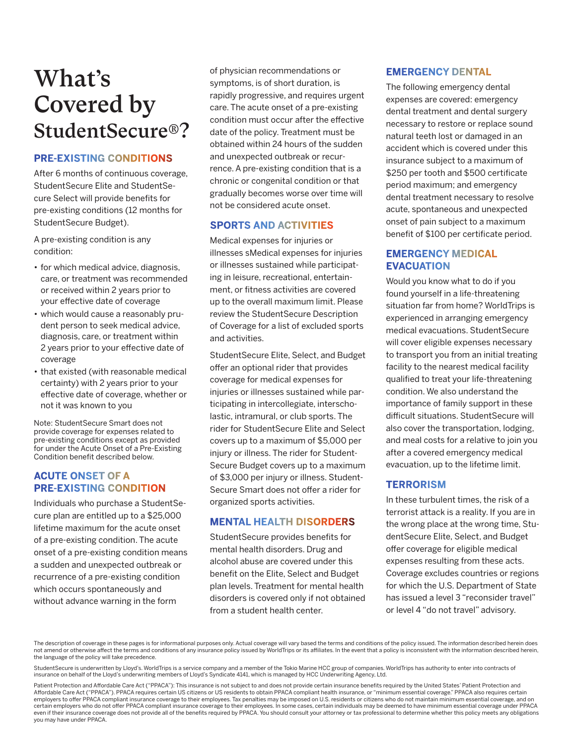# What's Covered by StudentSecure®?

### **PRE-EXISTING CONDITIONS**

After 6 months of continuous coverage, StudentSecure Elite and StudentSecure Select will provide benefits for pre-existing conditions (12 months for StudentSecure Budget).

A pre-existing condition is any condition:

- for which medical advice, diagnosis, care, or treatment was recommended or received within 2 years prior to your effective date of coverage
- which would cause a reasonably prudent person to seek medical advice, diagnosis, care, or treatment within 2 years prior to your effective date of coverage
- that existed (with reasonable medical certainty) with 2 years prior to your effective date of coverage, whether or not it was known to you

Note: StudentSecure Smart does not provide coverage for expenses related to pre-existing conditions except as provided for under the Acute Onset of a Pre-Existing Condition benefit described below.

### **ACUTE ONSET OF A PRE-EXISTING CONDITION**

Individuals who purchase a StudentSecure plan are entitled up to a \$25,000 lifetime maximum for the acute onset of a pre-existing condition. The acute onset of a pre-existing condition means a sudden and unexpected outbreak or recurrence of a pre-existing condition which occurs spontaneously and without advance warning in the form

of physician recommendations or symptoms, is of short duration, is rapidly progressive, and requires urgent care. The acute onset of a pre-existing condition must occur after the effective date of the policy. Treatment must be obtained within 24 hours of the sudden and unexpected outbreak or recurrence. A pre-existing condition that is a chronic or congenital condition or that gradually becomes worse over time will not be considered acute onset.

#### **SPORTS AND ACTIVITIES**

Medical expenses for injuries or illnesses sMedical expenses for injuries or illnesses sustained while participating in leisure, recreational, entertainment, or fitness activities are covered up to the overall maximum limit. Please review the StudentSecure Description of Coverage for a list of excluded sports and activities.

StudentSecure Elite, Select, and Budget offer an optional rider that provides coverage for medical expenses for injuries or illnesses sustained while participating in intercollegiate, interscholastic, intramural, or club sports. The rider for StudentSecure Elite and Select covers up to a maximum of \$5,000 per injury or illness. The rider for Student-Secure Budget covers up to a maximum of \$3,000 per injury or illness. Student-Secure Smart does not offer a rider for organized sports activities.

### **MENTAL HEALTH DISORDERS**

StudentSecure provides benefits for mental health disorders. Drug and alcohol abuse are covered under this benefit on the Elite, Select and Budget plan levels. Treatment for mental health disorders is covered only if not obtained from a student health center.

#### **EMERGENCY DENTAL**

The following emergency dental expenses are covered: emergency dental treatment and dental surgery necessary to restore or replace sound natural teeth lost or damaged in an accident which is covered under this insurance subject to a maximum of \$250 per tooth and \$500 certificate period maximum; and emergency dental treatment necessary to resolve acute, spontaneous and unexpected onset of pain subject to a maximum benefit of \$100 per certificate period.

### **EMERGENCY MEDICAL EVACUATION**

Would you know what to do if you found yourself in a life-threatening situation far from home? WorldTrips is experienced in arranging emergency medical evacuations. StudentSecure will cover eligible expenses necessary to transport you from an initial treating facility to the nearest medical facility qualified to treat your life-threatening condition. We also understand the importance of family support in these difficult situations. StudentSecure will also cover the transportation, lodging, and meal costs for a relative to join you after a covered emergency medical evacuation, up to the lifetime limit.

### **TERRORISM**

In these turbulent times, the risk of a terrorist attack is a reality. If you are in the wrong place at the wrong time, StudentSecure Elite, Select, and Budget offer coverage for eligible medical expenses resulting from these acts. Coverage excludes countries or regions for which the U.S. Department of State has issued a level 3 "reconsider travel" or level 4 "do not travel" advisory.

The description of coverage in these pages is for informational purposes only. Actual coverage will vary based the terms and conditions of the policy issued. The information described herein does not amend or otherwise affect the terms and conditions of any insurance policy issued by WorldTrips or its affiliates. In the event that a policy is inconsistent with the information described herein, the language of the policy will take precedence.

StudentSecure is underwritten by Lloyd's. WorldTrips is a service company and a member of the Tokio Marine HCC group of companies. WorldTrips has authority to enter into contracts of insurance on behalf of the Lloyd's underwriting members of Lloyd's Syndicate 4141, which is managed by HCC Underwriting Agency, Ltd.

Patient Protection and Affordable Care Act ("PPACA"): This insurance is not subject to and does not provide certain insurance benefits required by the United States' Patient Protection and Affordable Care Act ("PPACA"). PPACA requires certain US citizens or US residents to obtain PPACA compliant health insurance, or "minimum essential coverage." PPACA also requires certain employers to offer PPACA compliant insurance coverage to their employees. Tax penalties may be imposed on U.S. residents or citizens who do not maintain minimum essential coverage, and on certain employers who do not offer PPACA compliant insurance coverage to their employees. In some cases, certain individuals may be deemed to have minimum essential coverage under PPACA even if their insurance coverage does not provide all of the benefits required by PPACA. You should consult your attorney or tax professional to determine whether this policy meets any obligations when increase one coverag you may have under PPACA.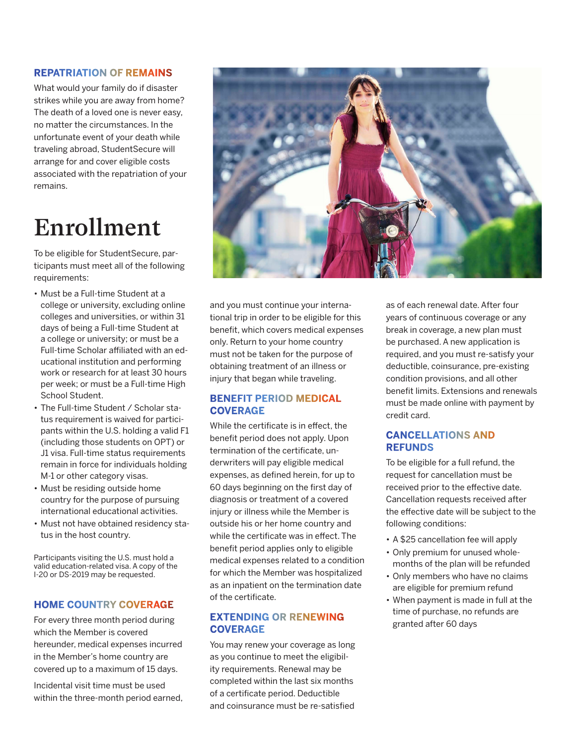#### **REPATRIATION OF REMAINS**

What would your family do if disaster strikes while you are away from home? The death of a loved one is never easy, no matter the circumstances. In the unfortunate event of your death while traveling abroad, StudentSecure will arrange for and cover eligible costs associated with the repatriation of your remains.

# Enrollment

To be eligible for StudentSecure, participants must meet all of the following requirements:

- Must be a Full-time Student at a college or university, excluding online colleges and universities, or within 31 days of being a Full-time Student at a college or university; or must be a Full-time Scholar affiliated with an educational institution and performing work or research for at least 30 hours per week; or must be a Full-time High School Student.
- The Full-time Student / Scholar status requirement is waived for participants within the U.S. holding a valid F1 (including those students on OPT) or J1 visa. Full-time status requirements remain in force for individuals holding M-1 or other category visas.
- Must be residing outside home country for the purpose of pursuing international educational activities.
- Must not have obtained residency status in the host country.

Participants visiting the U.S. must hold a valid education-related visa. A copy of the I-20 or DS-2019 may be requested.

### **HOME COUNTRY COVERAGE**

For every three month period during which the Member is covered hereunder, medical expenses incurred in the Member's home country are covered up to a maximum of 15 days.

Incidental visit time must be used within the three-month period earned,



and you must continue your international trip in order to be eligible for this benefit, which covers medical expenses only. Return to your home country must not be taken for the purpose of obtaining treatment of an illness or injury that began while traveling.

### **BENEFIT PERIOD MEDICAL COVERAGE**

While the certificate is in effect, the benefit period does not apply. Upon termination of the certificate, underwriters will pay eligible medical expenses, as defined herein, for up to 60 days beginning on the first day of diagnosis or treatment of a covered injury or illness while the Member is outside his or her home country and while the certificate was in effect. The benefit period applies only to eligible medical expenses related to a condition for which the Member was hospitalized as an inpatient on the termination date of the certificate.

### **EXTENDING OR RENEWING COVERAGE**

You may renew your coverage as long as you continue to meet the eligibility requirements. Renewal may be completed within the last six months of a certificate period. Deductible and coinsurance must be re-satisfied

as of each renewal date. After four years of continuous coverage or any break in coverage, a new plan must be purchased. A new application is required, and you must re-satisfy your deductible, coinsurance, pre-existing condition provisions, and all other benefit limits. Extensions and renewals must be made online with payment by credit card.

#### **CANCELLATIONS AND REFUNDS**

To be eligible for a full refund, the request for cancellation must be received prior to the effective date. Cancellation requests received after the effective date will be subject to the following conditions:

- A \$25 cancellation fee will apply
- Only premium for unused wholemonths of the plan will be refunded
- Only members who have no claims are eligible for premium refund
- When payment is made in full at the time of purchase, no refunds are granted after 60 days